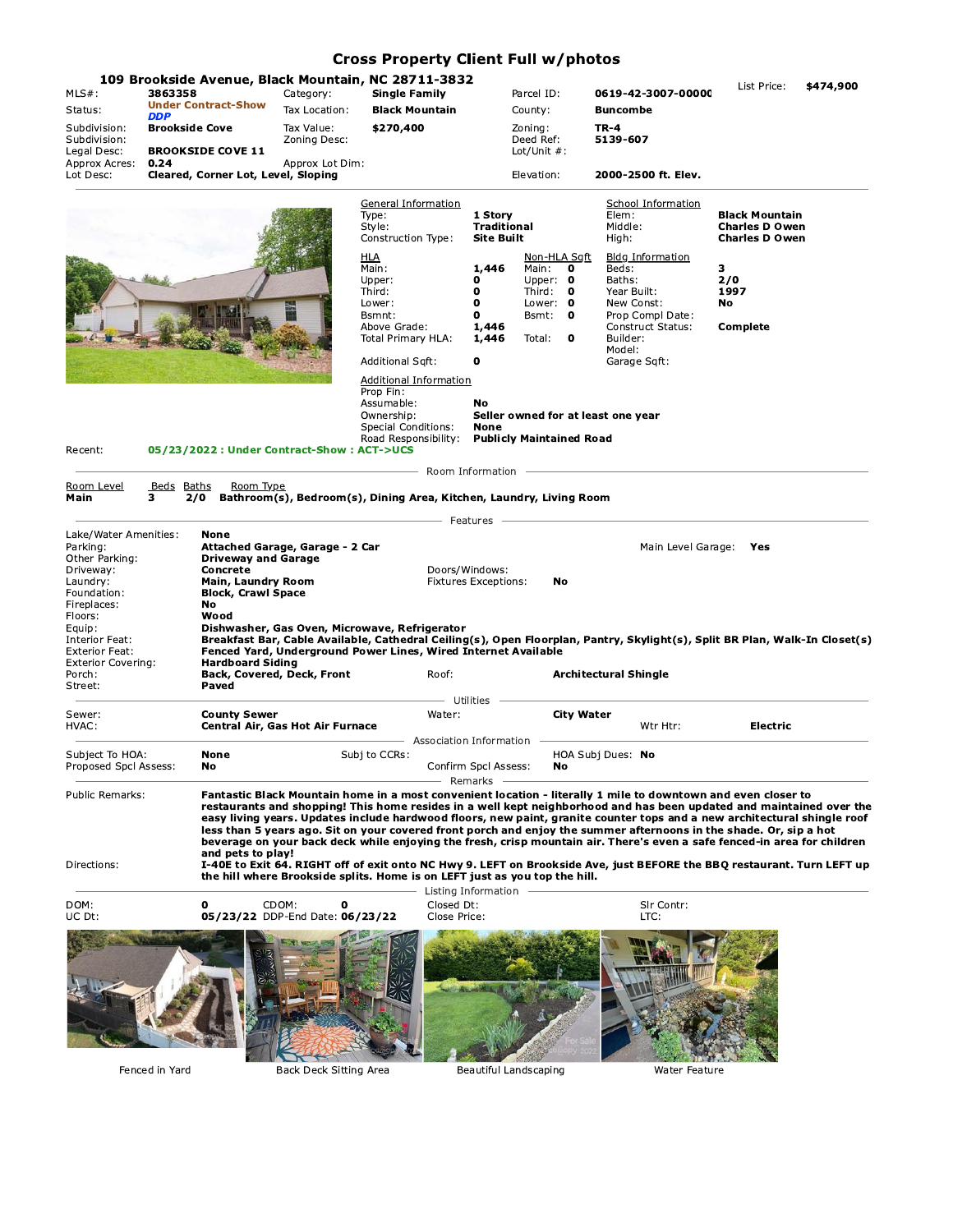## **Cross Property Client Full w/photos**

| $MLS#$ :<br>Status:<br>Subdivision:<br>Subdivision:                                                                                                                                                                          | 3863358<br><b>DDP</b><br><b>Brookside Cove</b> | <b>Under Contract-Show</b>                                                                                                                                                               | Category:<br>Tax Location:<br>Tax Value:<br>Zoning Desc: | 109 Brookside Avenue, Black Mountain, NC 28711-3832<br><b>Single Family</b><br><b>Black Mountain</b><br>\$270,400                                                                     |                                                                                                        | Parcel ID:<br>County:<br>Zoning:<br>Deed Ref:                                                              | 0619-42-3007-00000<br><b>Buncombe</b><br>TR-4<br>5139-607                                                                                                                                                                                                                                                                                                                                                                                                                                                                                                                                                                                                                                                                                     | List Price:                                                                                                    | \$474,900 |
|------------------------------------------------------------------------------------------------------------------------------------------------------------------------------------------------------------------------------|------------------------------------------------|------------------------------------------------------------------------------------------------------------------------------------------------------------------------------------------|----------------------------------------------------------|---------------------------------------------------------------------------------------------------------------------------------------------------------------------------------------|--------------------------------------------------------------------------------------------------------|------------------------------------------------------------------------------------------------------------|-----------------------------------------------------------------------------------------------------------------------------------------------------------------------------------------------------------------------------------------------------------------------------------------------------------------------------------------------------------------------------------------------------------------------------------------------------------------------------------------------------------------------------------------------------------------------------------------------------------------------------------------------------------------------------------------------------------------------------------------------|----------------------------------------------------------------------------------------------------------------|-----------|
| Legal Desc:<br>Approx Acres:<br>Lot Desc:                                                                                                                                                                                    | 0.24                                           | <b>BROOKSIDE COVE 11</b><br>Cleared, Corner Lot, Level, Sloping                                                                                                                          | Approx Lot Dim:                                          |                                                                                                                                                                                       |                                                                                                        | Lot/Unit $#$ :<br>Elevation:                                                                               | 2000-2500 ft. Elev.                                                                                                                                                                                                                                                                                                                                                                                                                                                                                                                                                                                                                                                                                                                           |                                                                                                                |           |
|                                                                                                                                                                                                                              |                                                |                                                                                                                                                                                          |                                                          | General Information<br>Type:<br>Style:<br>Construction Type:<br><u>HLA</u><br>Main:<br>Upper:<br>Third:<br>Lower:<br>Bsmnt:<br>Above Grade:<br>Total Primary HLA:<br>Additional Sqft: | 1 Story<br><b>Traditional</b><br><b>Site Built</b><br>1,446<br>0<br>0<br>0<br>0<br>1,446<br>1,446<br>0 | Non-HLA Sqft<br>Main:<br>$\mathbf{o}$<br>Upper: $\mathbf 0$<br>Third: 0<br>Lower: 0<br>Bsmt: 0<br>Total: 0 | <b>School Information</b><br>Elem:<br>Middle:<br>High:<br><b>Bldg Information</b><br>Beds:<br>Baths:<br>Year Built:<br>New Const:<br>Prop Compl Date:<br>Construct Status:<br>Builder:<br>Model:<br>Garage Sqft:                                                                                                                                                                                                                                                                                                                                                                                                                                                                                                                              | <b>Black Mountain</b><br><b>Charles D Owen</b><br><b>Charles D Owen</b><br>з.<br>2/0<br>1997<br>No<br>Complete |           |
| 05/23/2022 : Under Contract-Show : ACT->UCS<br>Recent:                                                                                                                                                                       |                                                |                                                                                                                                                                                          |                                                          | Additional Information<br>Prop Fin:<br>Assumable:<br>Ownership:<br><b>Special Conditions:</b><br>Road Responsibility:                                                                 | No<br>Seller owned for at least one year<br><b>None</b><br><b>Publicly Maintained Road</b>             |                                                                                                            |                                                                                                                                                                                                                                                                                                                                                                                                                                                                                                                                                                                                                                                                                                                                               |                                                                                                                |           |
| Room Level<br>Main                                                                                                                                                                                                           | Beds Baths<br>з.                               | Room Type                                                                                                                                                                                |                                                          | 2/0 Bathroom(s), Bedroom(s), Dining Area, Kitchen, Laundry, Living Room                                                                                                               |                                                                                                        |                                                                                                            | - Room Information - Room Information - Room Information - Room Information - Room Information - Room Information - Room Information - Room Information - Room Information - Room Information - Room Information - Room Inform                                                                                                                                                                                                                                                                                                                                                                                                                                                                                                                |                                                                                                                |           |
|                                                                                                                                                                                                                              |                                                |                                                                                                                                                                                          |                                                          |                                                                                                                                                                                       | – Features –                                                                                           |                                                                                                            |                                                                                                                                                                                                                                                                                                                                                                                                                                                                                                                                                                                                                                                                                                                                               |                                                                                                                |           |
| Lake/Water Amenities:<br>Parking:<br>Other Parking:<br>Driveway:<br>Laundry:<br>Foundation:<br>Fireplaces:<br>Floors:<br>Equip:<br>Interior Feat:<br><b>Exterior Feat:</b><br><b>Exterior Covering:</b><br>Porch:<br>Street: |                                                | None<br><b>Driveway and Garage</b><br><b>Concrete</b><br>Main, Laundry Room<br><b>Block, Crawl Space</b><br>No<br>Wood<br><b>Hardboard Siding</b><br>Back, Covered, Deck, Front<br>Paved | Attached Garage, Garage - 2 Car                          | Dishwasher, Gas Oven, Microwave, Refrigerator<br>Fenced Yard, Underground Power Lines, Wired Internet Available<br>Roof:                                                              | Doors/Windows:<br><b>Fixtures Exceptions:</b><br>– Utilities -                                         | No                                                                                                         | Main Level Garage: Yes<br>Breakfast Bar, Cable Available, Cathedral Ceiling(s), Open Floorplan, Pantry, Skylight(s), Split BR Plan, Walk-In Closet(s)<br><b>Architectural Shingle</b>                                                                                                                                                                                                                                                                                                                                                                                                                                                                                                                                                         |                                                                                                                |           |
| Sewer:<br>HVAC:                                                                                                                                                                                                              |                                                | <b>County Sewer</b>                                                                                                                                                                      | Central Air, Gas Hot Air Furnace                         | Water:<br>- Association Information -                                                                                                                                                 |                                                                                                        | <b>City Water</b>                                                                                          | Wtr Htr:                                                                                                                                                                                                                                                                                                                                                                                                                                                                                                                                                                                                                                                                                                                                      | Electric                                                                                                       |           |
| Subject To HOA:<br>Proposed Spcl Assess:                                                                                                                                                                                     |                                                | None<br>No                                                                                                                                                                               |                                                          | Subj to CCRs:                                                                                                                                                                         | Confirm Spcl Assess:                                                                                   | No                                                                                                         | HOA Subj Dues: No                                                                                                                                                                                                                                                                                                                                                                                                                                                                                                                                                                                                                                                                                                                             |                                                                                                                |           |
| <b>Public Remarks:</b><br>Directions:                                                                                                                                                                                        |                                                | and pets to play!                                                                                                                                                                        |                                                          | the hill where Brookside splits. Home is on LEFT just as you top the hill.                                                                                                            | – Remarks                                                                                              |                                                                                                            | Fantastic Black Mountain home in a most convenient location - literally 1 mile to downtown and even closer to<br>restaurants and shopping! This home resides in a well kept neighborhood and has been updated and maintained over the<br>easy living years. Updates include hardwood floors, new paint, granite counter tops and a new architectural shingle roof<br>less than 5 years ago. Sit on your covered front porch and enjoy the summer afternoons in the shade. Or, sip a hot<br>beverage on your back deck while enjoying the fresh, crisp mountain air. There's even a safe fenced-in area for children<br>I-40E to Exit 64. RIGHT off of exit onto NC Hwy 9. LEFT on Brookside Ave, just BEFORE the BBQ restaurant. Turn LEFT up |                                                                                                                |           |
| DOM:<br>UC Dt:                                                                                                                                                                                                               |                                                | $\mathbf{0}$                                                                                                                                                                             | CDOM:<br>0<br>05/23/22 DDP-End Date: 06/23/22            | Closed Dt:<br>Close Price:                                                                                                                                                            | Listing Information -                                                                                  |                                                                                                            | SIr Contr:<br>LTC:                                                                                                                                                                                                                                                                                                                                                                                                                                                                                                                                                                                                                                                                                                                            |                                                                                                                |           |
|                                                                                                                                                                                                                              |                                                |                                                                                                                                                                                          |                                                          |                                                                                                                                                                                       |                                                                                                        |                                                                                                            |                                                                                                                                                                                                                                                                                                                                                                                                                                                                                                                                                                                                                                                                                                                                               |                                                                                                                |           |